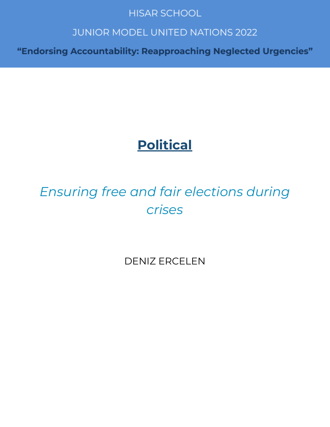## **HISAR SCHOOL**

## **JUNIOR MODEL UNITED NATIONS 2022**

"Endorsing Accountability: Reapproaching Neglected Urgencies"

# **Political**

# *Ensuring free and fair elections during crises*

DENIZ ERCELEN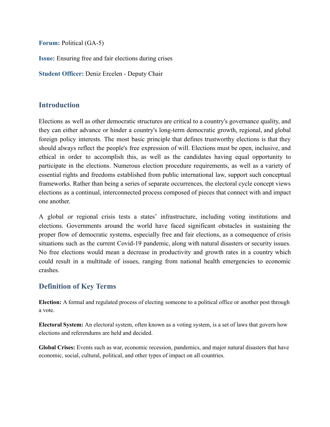**Forum:** Political (GA-5)

**Issue:** Ensuring free and fair elections during crises

**Student Officer:** Deniz Ercelen - Deputy Chair

### **Introduction**

Elections as well as other democratic structures are critical to a country's governance quality, and they can either advance or hinder a country's long-term democratic growth, regional, and global foreign policy interests. The most basic principle that defines trustworthy elections is that they should always reflect the people's free expression of will. Elections must be open, inclusive, and ethical in order to accomplish this, as well as the candidates having equal opportunity to participate in the elections. Numerous election procedure requirements, as well as a variety of essential rights and freedoms established from public international law, support such conceptual frameworks. Rather than being a series of separate occurrences, the electoral cycle concept views elections as a continual, interconnected process composed of pieces that connect with and impact one another.

A global or regional crisis tests a states' infrastructure, including voting institutions and elections. Governments around the world have faced significant obstacles in sustaining the proper flow of democratic systems, especially free and fair elections, as a consequence of crisis situations such as the current Covid-19 pandemic, along with natural disasters or security issues. No free elections would mean a decrease in productivity and growth rates in a country which could result in a multitude of issues, ranging from national health emergencies to economic crashes.

## **Definition of Key Terms**

**Election:** A formal and regulated process of electing someone to a political office or another post through a vote.

**Electoral System:** An electoral system, often known as a voting system, is a set of laws that govern how elections and referendums are held and decided.

**Global Crises:** Events such as war, economic recession, pandemics, and major natural disasters that have economic, social, cultural, political, and other types of impact on all countries.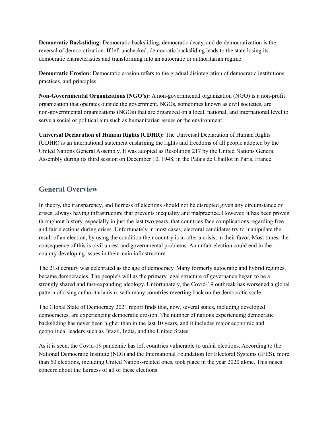**Democratic Backsliding:** Democratic backsliding, democratic decay, and de-democratization is the reversal of democratization. If left unchecked, democratic backsliding leads to the state losing its democratic characteristics and transforming into an autocratic or authoritarian regime.

**Democratic Erosion:** Democratic erosion refers to the gradual disintegration of democratic institutions, practices, and principles.

**Non-Governmental Organizations (NGO's):** A non-governmental organization (NGO) is a non-profit organization that operates outside the government. NGOs, sometimes known as civil societies, are non-governmental organizations (NGOs) that are organized on a local, national, and international level to serve a social or political aim such as humanitarian issues or the environment.

**Universal Declaration of Human Rights (UDHR):** The Universal Declaration of Human Rights (UDHR) is an international statement enshrining the rights and freedoms of all people adopted by the United Nations General Assembly. It was adopted as Resolution 217 by the United Nations General Assembly during its third session on December 10, 1948, in the Palais de Chaillot in Paris, France.

## **General Overview**

In theory, the transparency, and fairness of elections should not be disrupted given any circumstance or crises, always having infrastructure that prevents inequality and malpractice. However, it has been proven throughout history, especially in just the last two years, that countries face complications regarding free and fair elections during crises. Unfortunately in most cases, electoral candidates try to manipulate the result of an election, by using the condition their country is in after a crisis, in their favor. Most times, the consequence of this is civil unrest and governmental problems. An unfair election could end in the country developing issues in their main infrastructure.

The 21st century was celebrated as the age of democracy. Many formerly autocratic and hybrid regimes, became democracies. The people's will as the primary legal structure of governance began to be a strongly shared and fast-expanding ideology. Unfortunately, the Covid-19 outbreak has worsened a global pattern of rising authoritarianism, with many countries reverting back on the democratic scale.

The Global State of Democracy 2021 report finds that, now, several states, including developed democracies, are experiencing democratic erosion. The number of nations experiencing democratic backsliding has never been higher than in the last 10 years, and it includes major economic and geopolitical leaders such as Brazil, India, and the United States.

As it is seen, the Covid-19 pandemic has left countries vulnerable to unfair elections. According to the National Democratic Institute (NDI) and the International Foundation for Electoral Systems (IFES), more than 60 elections, including United Nations-related ones, took place in the year 2020 alone. This raises concern about the fairness of all of these elections.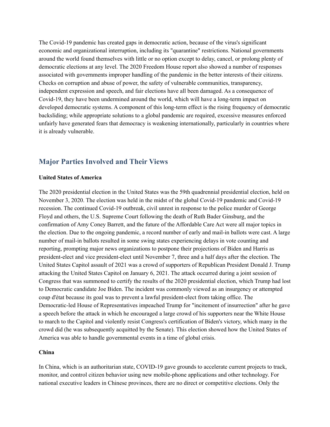The Covid-19 pandemic has created gaps in democratic action, because of the virus's significant economic and organizational interruption, including its "quarantine" restrictions. National governments around the world found themselves with little or no option except to delay, cancel, or prolong plenty of democratic elections at any level. The 2020 Freedom House report also showed a number of responses associated with governments improper handling of the pandemic in the better interests of their citizens. Checks on corruption and abuse of power, the safety of vulnerable communities, transparency, independent expression and speech, and fair elections have all been damaged. As a consequence of Covid-19, they have been undermined around the world, which will have a long-term impact on developed democratic systems. A component of this long-term effect is the rising frequency of democratic backsliding; while appropriate solutions to a global pandemic are required, excessive measures enforced unfairly have generated fears that democracy is weakening internationally, particularly in countries where it is already vulnerable.

#### **Major Parties Involved and Their Views**

#### **United States of America**

The 2020 presidential election in the United States was the 59th quadrennial presidential election, held on November 3, 2020. The election was held in the midst of the global Covid-19 pandemic and Covid-19 recession. The continued Covid-19 outbreak, civil unrest in response to the police murder of George Floyd and others, the U.S. Supreme Court following the death of Ruth Bader Ginsburg, and the confirmation of Amy Coney Barrett, and the future of the Affordable Care Act were all major topics in the election. Due to the ongoing pandemic, a record number of early and mail-in ballots were cast. A large number of mail-in ballots resulted in some swing states experiencing delays in vote counting and reporting, prompting major news organizations to postpone their projections of Biden and Harris as president-elect and vice president-elect until November 7, three and a half days after the election. The United States Capitol assault of 2021 was a crowd of supporters of Republican President Donald J. Trump attacking the United States Capitol on January 6, 2021. The attack occurred during a joint session of Congress that was summoned to certify the results of the 2020 presidential election, which Trump had lost to Democratic candidate Joe Biden. The incident was commonly viewed as an insurgency or attempted coup d'état because its goal was to prevent a lawful president-elect from taking office. The Democratic-led House of Representatives impeached Trump for "incitement of insurrection" after he gave a speech before the attack in which he encouraged a large crowd of his supporters near the White House to march to the Capitol and violently resist Congress's certification of Biden's victory, which many in the crowd did (he was subsequently acquitted by the Senate). This election showed how the United States of America was able to handle governmental events in a time of global crisis.

#### **China**

In China, which is an authoritarian state, COVID-19 gave grounds to accelerate current projects to track, monitor, and control citizen behavior using new mobile-phone applications and other technology. For national executive leaders in Chinese provinces, there are no direct or competitive elections. Only the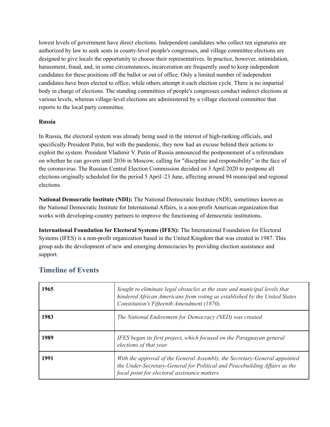lowest levels of government have direct elections. Independent candidates who collect ten signatures are authorized by law to seek seats in county-level people's congresses, and village committee elections are designed to give locals the opportunity to choose their representatives. In practice, however, intimidation, harassment, fraud, and, in some circumstances, incarceration are frequently used to keep independent candidates for these positions off the ballot or out of office. Only a limited number of independent candidates have been elected to office, while others attempt it each election cycle. There is no impartial body in charge of elections. The standing committees of people's congresses conduct indirect elections at various levels, whereas village-level elections are administered by a village electoral committee that reports to the local party committee.

#### **Russia**

In Russia, the electoral system was already being used in the interest of high-ranking officials, and specifically President Putin, but with the pandemic, they now had an excuse behind their actions to exploit the system. President Vladimir V. Putin of Russia announced the postponement of a referendum on whether he can govern until 2036 in Moscow, calling for "discipline and responsibility" in the face of the coronavirus. The Russian Central Election Commission decided on 3 April 2020 to postpone all elections originally scheduled for the period 5 April–23 June, affecting around 94 municipal and regional elections.

**National Democratic Institute (NDI):** The National Democratic Institute (NDI), sometimes known as the National Democratic Institute for International Affairs, is a non-profit American organization that works with developing-country partners to improve the functioning of democratic institutions.

**International Foundation for Electoral Systems (IFES):** The International Foundation for Electoral Systems (IFES) is a non-profit organization based in the United Kingdom that was created in 1987. This group aids the development of new and emerging democracies by providing election assistance and support.

| 1965 | Sought to eliminate legal obstacles at the state and municipal levels that<br>hindered African Americans from voting as established by the United States<br>Constitution's Fifteenth Amendment (1870).    |
|------|-----------------------------------------------------------------------------------------------------------------------------------------------------------------------------------------------------------|
| 1983 | The National Endowment for Democracy (NED) was created.                                                                                                                                                   |
| 1989 | IFES began its first project, which focused on the Paraguayan general<br>elections of that year.                                                                                                          |
| 1991 | With the approval of the General Assembly, the Secretary-General appointed<br>the Under-Secretary-General for Political and Peacebuilding Affairs as the<br>focal point for electoral assistance matters. |

## **Timeline of Events**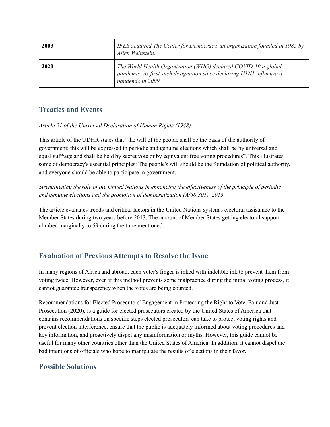| 2003 | IFES acquired The Center for Democracy, an organization founded in 1985 by<br>Allen Weinstein.                                                               |
|------|--------------------------------------------------------------------------------------------------------------------------------------------------------------|
| 2020 | The World Health Organization (WHO) declared COVID-19 a global<br>pandemic, its first such designation since declaring H1N1 influenza a<br>pandemic in 2009. |

## **Treaties and Events**

#### *Article 21 of the Universal Declaration of Human Rights (1948)*

This article of the UDHR states that "the will of the people shall be the basis of the authority of government; this will be expressed in periodic and genuine elections which shall be by universal and equal suffrage and shall be held by secret vote or by equivalent free voting procedures". This illustrates some of democracy's essential principles: The people's will should be the foundation of political authority, and everyone should be able to participate in government.

*Strengthening the role of the United Nations in enhancing the ef ectiveness of the principle of periodic and genuine elections and the promotion of democratization (A/68/301), 2013*

The article evaluates trends and critical factors in the United Nations system's electoral assistance to the Member States during two years before 2013. The amount of Member States getting electoral support climbed marginally to 59 during the time mentioned.

## **Evaluation of Previous Attempts to Resolve the Issue**

In many regions of Africa and abroad, each voter's finger is inked with indelible ink to prevent them from voting twice. However, even if this method prevents some malpractice during the initial voting process, it cannot guarantee transparency when the votes are being counted.

Recommendations for Elected Prosecutors' Engagement in Protecting the Right to Vote, Fair and Just Prosecution (2020), is a guide for elected prosecutors created by the United States of America that contains recommendations on specific steps elected prosecutors can take to protect voting rights and prevent election interference, ensure that the public is adequately informed about voting procedures and key information, and proactively dispel any misinformation or myths. However, this guide cannot be useful for many other countries other than the United States of America. In addition, it cannot dispel the bad intentions of officials who hope to manipulate the results of elections in their favor.

## **Possible Solutions**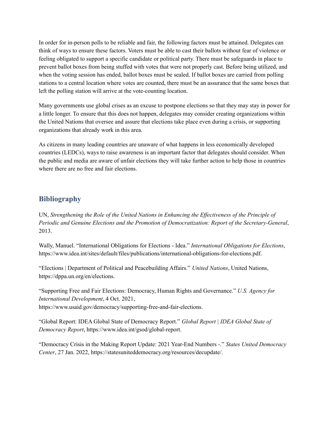In order for in-person polls to be reliable and fair, the following factors must be attained. Delegates can think of ways to ensure these factors. Voters must be able to cast their ballots without fear of violence or feeling obligated to support a specific candidate or political party. There must be safeguards in place to prevent ballot boxes from being stuffed with votes that were not properly cast. Before being utilized, and when the voting session has ended, ballot boxes must be sealed. If ballot boxes are carried from polling stations to a central location where votes are counted, there must be an assurance that the same boxes that left the polling station will arrive at the vote-counting location.

Many governments use global crises as an excuse to postpone elections so that they may stay in power for a little longer. To ensure that this does not happen, delegates may consider creating organizations within the United Nations that oversee and assure that elections take place even during a crisis, or supporting organizations that already work in this area.

As citizens in many leading countries are unaware of what happens in less economically developed countries (LEDCs), ways to raise awareness is an important factor that delegates should consider. When the public and media are aware of unfair elections they will take further action to help those in countries where there are no free and fair elections.

### **Bibliography**

UN, *Strengthening the Role of the United Nations in Enhancing the Ef ectiveness of the Principle of Periodic and Genuine Elections and the Promotion of Democratization: Report of the Secretary-General*, 2013.

Wally, Manuel. "International Obligations for Elections - Idea." *International Obligations for Elections*, https://www.idea.int/sites/default/files/publications/international-obligations-for-elections.pdf.

"Elections | Department of Political and Peacebuilding Affairs." *United Nations*, United Nations, https://dppa.un.org/en/elections.

"Supporting Free and Fair Elections: Democracy, Human Rights and Governance." *U.S. Agency for International Development*, 4 Oct. 2021, https://www.usaid.gov/democracy/supporting-free-and-fair-elections.

"Global Report: IDEA Global State of Democracy Report." *Global Report | IDEA Global State of Democracy Report*, https://www.idea.int/gsod/global-report.

"Democracy Crisis in the Making Report Update: 2021 Year-End Numbers -." *States United Democracy Center*, 27 Jan. 2022, https://statesuniteddemocracy.org/resources/decupdate/.